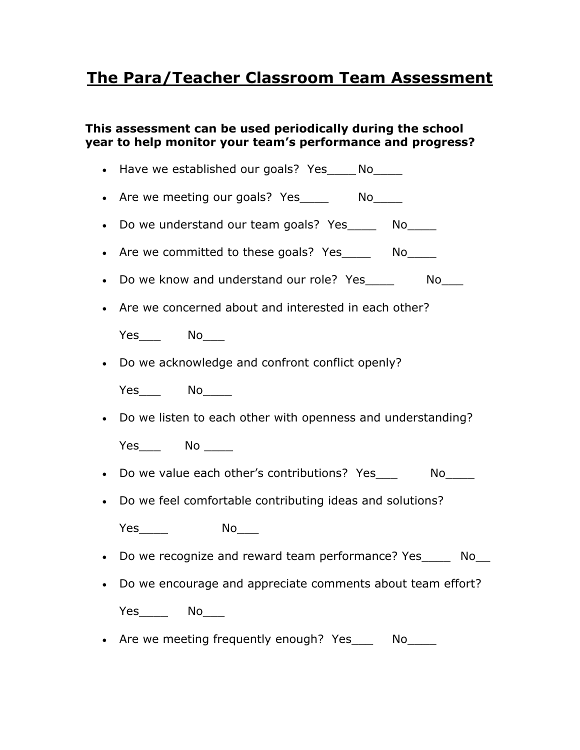## **The Para/Teacher Classroom Team Assessment**

## **This assessment can be used periodically during the school year to help monitor your team's performance and progress?**

- Have we established our goals? Yes No • Are we meeting our goals? Yes \_\_\_\_\_\_ No\_\_\_\_\_
- Do we understand our team goals? Yes \_\_\_\_ No
- Are we committed to these goals? Yes \_\_\_\_\_\_ No
- Do we know and understand our role? Yes\_\_\_\_\_ No\_\_\_
- Are we concerned about and interested in each other?

| ٦.<br>$\overline{ }$<br>--<br>- | $\sim$ |
|---------------------------------|--------|
|---------------------------------|--------|

Do we acknowledge and confront conflict openly?

Yes<sup>No</sup>

Do we listen to each other with openness and understanding?

Yes\_\_\_ No \_\_\_\_

- Do we value each other's contributions? Yes Mo
- Do we feel comfortable contributing ideas and solutions?

Yes No\_\_\_\_

- Do we recognize and reward team performance? Yes\_\_\_\_\_ No\_\_
- Do we encourage and appreciate comments about team effort?

Yes\_\_\_\_\_\_\_ No

• Are we meeting frequently enough? Yes Mo